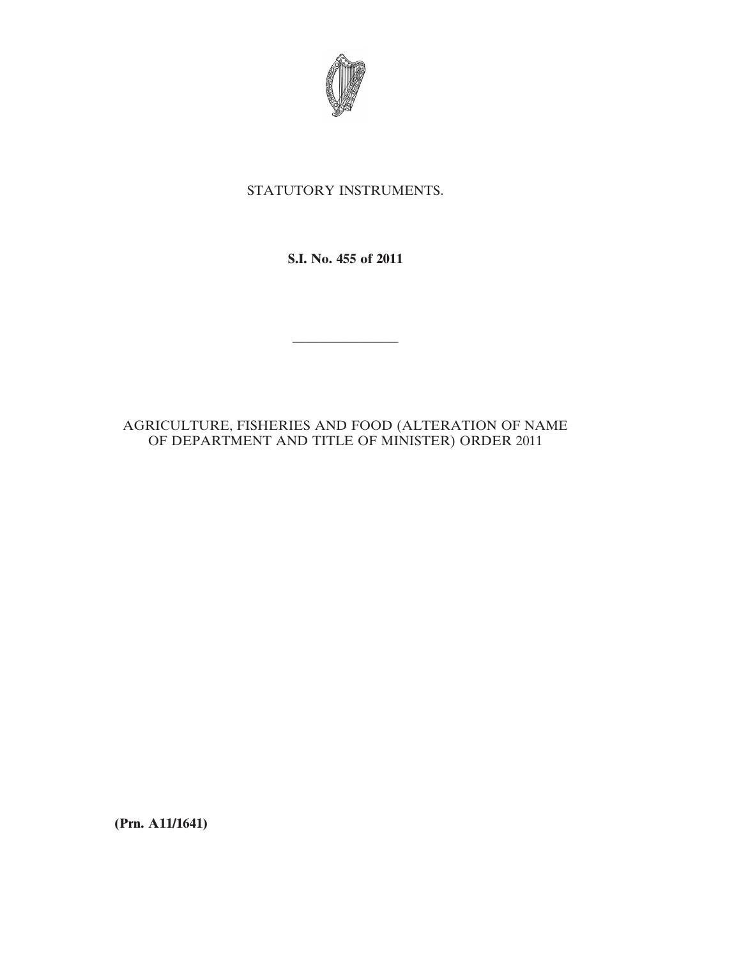

## STATUTORY INSTRUMENTS.

**S.I. No. 455 of 2011**

————————

## AGRICULTURE, FISHERIES AND FOOD (ALTERATION OF NAME OF DEPARTMENT AND TITLE OF MINISTER) ORDER 2011

**(Prn. A11/1641)**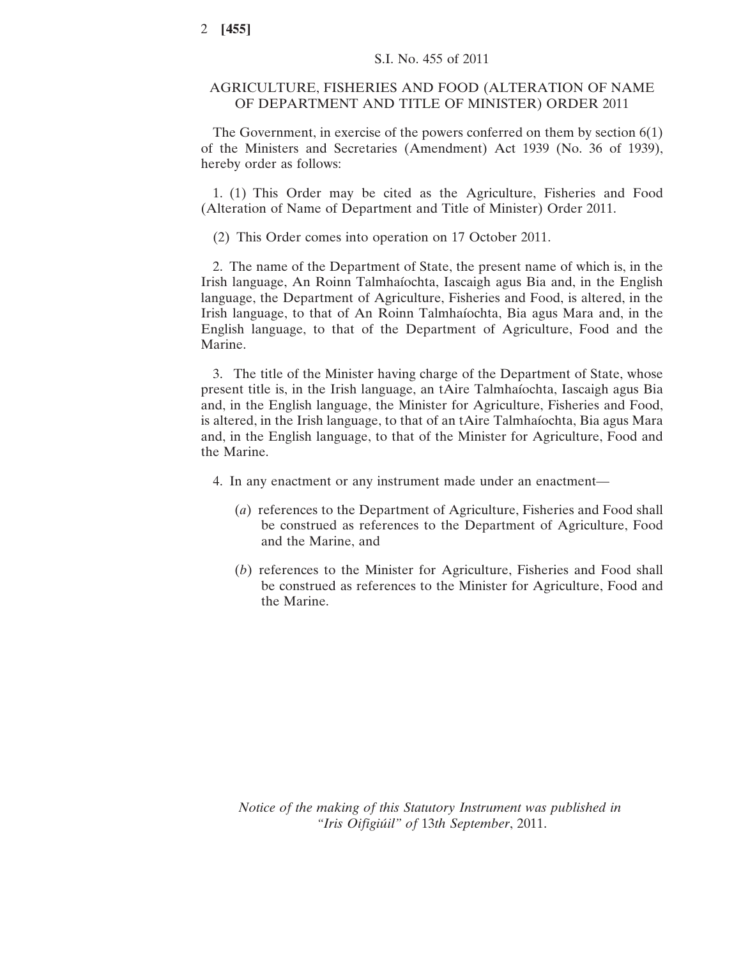## AGRICULTURE, FISHERIES AND FOOD (ALTERATION OF NAME OF DEPARTMENT AND TITLE OF MINISTER) ORDER 2011

The Government, in exercise of the powers conferred on them by section 6(1) of the Ministers and Secretaries (Amendment) Act 1939 (No. 36 of 1939), hereby order as follows:

1. (1) This Order may be cited as the Agriculture, Fisheries and Food (Alteration of Name of Department and Title of Minister) Order 2011.

(2) This Order comes into operation on 17 October 2011.

2. The name of the Department of State, the present name of which is, in the Irish language, An Roinn Talmhaíochta, Iascaigh agus Bia and, in the English language, the Department of Agriculture, Fisheries and Food, is altered, in the Irish language, to that of An Roinn Talmhaíochta, Bia agus Mara and, in the English language, to that of the Department of Agriculture, Food and the Marine.

3. The title of the Minister having charge of the Department of State, whose present title is, in the Irish language, an tAire Talmhaíochta, Iascaigh agus Bia and, in the English language, the Minister for Agriculture, Fisheries and Food, is altered, in the Irish language, to that of an tAire Talmhaíochta, Bia agus Mara and, in the English language, to that of the Minister for Agriculture, Food and the Marine.

4. In any enactment or any instrument made under an enactment—

- (*a*) references to the Department of Agriculture, Fisheries and Food shall be construed as references to the Department of Agriculture, Food and the Marine, and
- (*b*) references to the Minister for Agriculture, Fisheries and Food shall be construed as references to the Minister for Agriculture, Food and the Marine.

*Notice of the making of this Statutory Instrument was published in "Iris Oifigiúil" of* 13*th September*, 2011.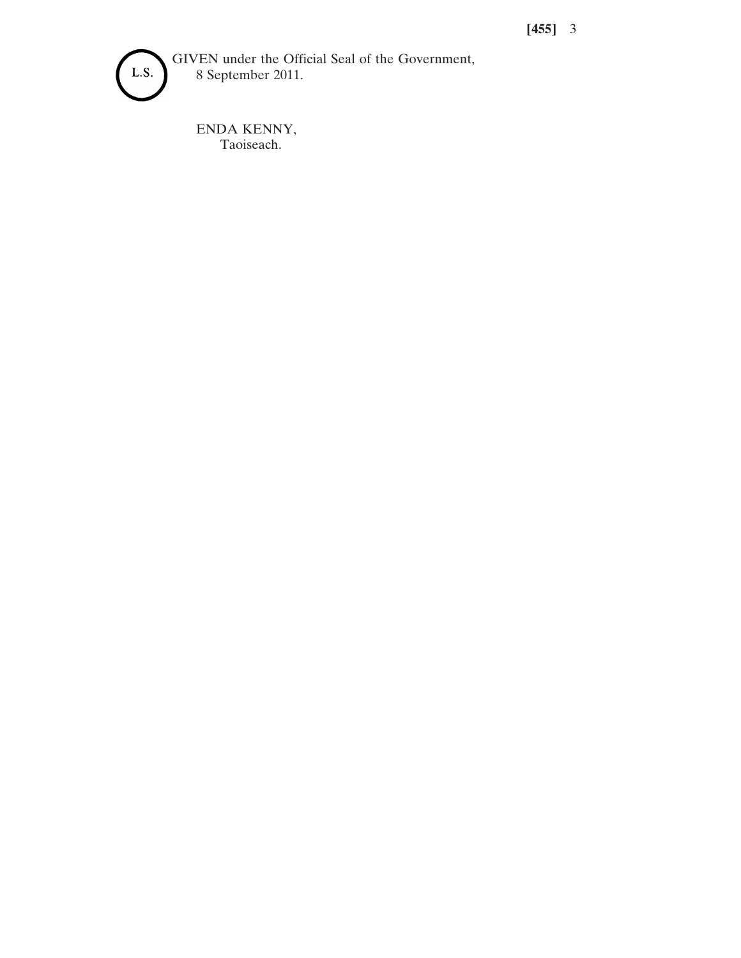

GIVEN under the Official Seal of the Government, 8 September 2011.

ENDA KENNY, Taoiseach.